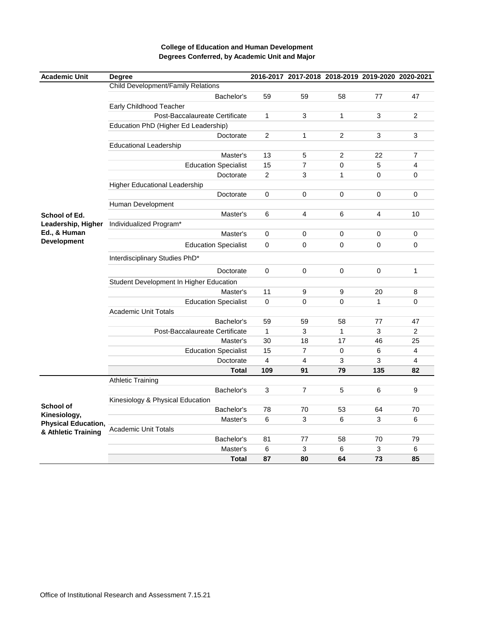| <b>Academic Unit</b>                                                           | <b>Degree</b>                           |                | 2016-2017 2017-2018 2018-2019 2019-2020 2020-2021 |                |     |                |
|--------------------------------------------------------------------------------|-----------------------------------------|----------------|---------------------------------------------------|----------------|-----|----------------|
|                                                                                | Child Development/Family Relations      |                |                                                   |                |     |                |
|                                                                                | Bachelor's                              | 59             | 59                                                | 58             | 77  | 47             |
|                                                                                | Early Childhood Teacher                 |                |                                                   |                |     |                |
|                                                                                | Post-Baccalaureate Certificate          | $\mathbf{1}$   | 3                                                 | 1              | 3   | $\overline{c}$ |
|                                                                                | Education PhD (Higher Ed Leadership)    |                |                                                   |                |     |                |
|                                                                                | Doctorate                               | $\overline{c}$ | 1                                                 | 2              | 3   | 3              |
|                                                                                | <b>Educational Leadership</b>           |                |                                                   |                |     |                |
|                                                                                | Master's                                | 13             | 5                                                 | $\overline{2}$ | 22  | $\overline{7}$ |
|                                                                                | <b>Education Specialist</b>             | 15             | 7                                                 | 0              | 5   | $\overline{4}$ |
|                                                                                | Doctorate                               | 2              | 3                                                 | $\mathbf{1}$   | 0   | 0              |
|                                                                                | <b>Higher Educational Leadership</b>    |                |                                                   |                |     |                |
|                                                                                | Doctorate                               | 0              | 0                                                 | 0              | 0   | 0              |
|                                                                                | Human Development                       |                |                                                   |                |     |                |
| School of Ed.                                                                  | Master's                                | 6              | 4                                                 | 6              | 4   | 10             |
| Leadership, Higher                                                             | Individualized Program*                 |                |                                                   |                |     |                |
| Ed., & Human                                                                   | Master's                                | $\mathsf 0$    | 0                                                 | 0              | 0   | 0              |
| <b>Development</b>                                                             | <b>Education Specialist</b>             | $\mathbf 0$    | 0                                                 | 0              | 0   | 0              |
|                                                                                | Interdisciplinary Studies PhD*          |                |                                                   |                |     |                |
|                                                                                | Doctorate                               | 0              | 0                                                 | 0              | 0   | 1              |
|                                                                                | Student Development In Higher Education |                |                                                   |                |     |                |
|                                                                                | Master's                                | 11             | 9                                                 | 9              | 20  | 8              |
|                                                                                | <b>Education Specialist</b>             | 0              | $\overline{0}$                                    | 0              | 1   | $\mathbf 0$    |
|                                                                                | <b>Academic Unit Totals</b>             |                |                                                   |                |     |                |
|                                                                                | Bachelor's                              | 59             | 59                                                | 58             | 77  | 47             |
|                                                                                | Post-Baccalaureate Certificate          | $\mathbf{1}$   | 3                                                 | 1              | 3   | $\overline{c}$ |
|                                                                                | Master's                                | 30             | 18                                                | 17             | 46  | 25             |
|                                                                                | <b>Education Specialist</b>             | 15             | 7                                                 | 0              | 6   | $\overline{4}$ |
|                                                                                | Doctorate                               | 4              | 4                                                 | 3              | 3   | $\overline{4}$ |
|                                                                                | <b>Total</b>                            | 109            | 91                                                | 79             | 135 | 82             |
| School of<br>Kinesiology,<br><b>Physical Education,</b><br>& Athletic Training | <b>Athletic Training</b>                |                |                                                   |                |     |                |
|                                                                                | Bachelor's                              | 3              | $\overline{7}$                                    | 5              | 6   | 9              |
|                                                                                | Kinesiology & Physical Education        |                |                                                   |                |     |                |
|                                                                                | Bachelor's                              | 78             | 70                                                | 53             | 64  | 70             |
|                                                                                | Master's                                | 6              | 3                                                 | 6              | 3   | 6              |
|                                                                                | <b>Academic Unit Totals</b>             |                |                                                   |                |     |                |
|                                                                                | Bachelor's                              | 81             | 77                                                | 58             | 70  | 79             |
|                                                                                | Master's                                | 6              | 3                                                 | 6              | 3   | 6              |
|                                                                                | <b>Total</b>                            | 87             | 80                                                | 64             | 73  | 85             |

## **College of Education and Human Development Degrees Conferred, by Academic Unit and Major**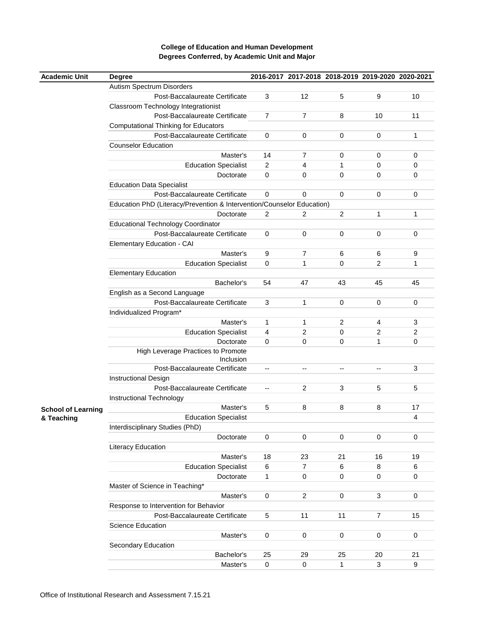## **College of Education and Human Development Degrees Conferred, by Academic Unit and Major**

| <b>Academic Unit</b>      | <b>Degree</b>                                                          |                | 2016-2017 2017-2018 2018-2019 2019-2020 2020-2021 |    |                |    |
|---------------------------|------------------------------------------------------------------------|----------------|---------------------------------------------------|----|----------------|----|
|                           | Autism Spectrum Disorders                                              |                |                                                   |    |                |    |
|                           | Post-Baccalaureate Certificate                                         | 3              | 12                                                | 5  | 9              | 10 |
|                           | Classroom Technology Integrationist                                    |                |                                                   |    |                |    |
|                           | Post-Baccalaureate Certificate                                         | $\overline{7}$ | 7                                                 | 8  | 10             | 11 |
|                           | <b>Computational Thinking for Educators</b>                            |                |                                                   |    |                |    |
|                           | Post-Baccalaureate Certificate                                         | $\pmb{0}$      | 0                                                 | 0  | 0              | 1  |
|                           | <b>Counselor Education</b>                                             |                |                                                   |    |                |    |
|                           | Master's                                                               | 14             | 7                                                 | 0  | 0              | 0  |
|                           | <b>Education Specialist</b>                                            | $\overline{2}$ | 4                                                 | 1  | 0              | 0  |
|                           | Doctorate                                                              | $\mathsf 0$    | 0                                                 | 0  | 0              | 0  |
|                           | <b>Education Data Specialist</b>                                       |                |                                                   |    |                |    |
|                           | Post-Baccalaureate Certificate                                         | $\mathbf 0$    | 0                                                 | 0  | 0              | 0  |
|                           | Education PhD (Literacy/Prevention & Intervention/Counselor Education) |                |                                                   |    |                |    |
|                           | Doctorate                                                              | $\overline{c}$ | $\overline{2}$                                    | 2  | 1              | 1  |
|                           | <b>Educational Technology Coordinator</b>                              |                |                                                   |    |                |    |
|                           | Post-Baccalaureate Certificate                                         | $\pmb{0}$      | 0                                                 | 0  | 0              | 0  |
|                           | Elementary Education - CAI                                             |                |                                                   |    |                |    |
|                           | Master's                                                               | 9              | 7                                                 | 6  | 6              | 9  |
|                           | <b>Education Specialist</b>                                            | $\mathsf 0$    | 1                                                 | 0  | 2              | 1  |
|                           | <b>Elementary Education</b>                                            |                |                                                   |    |                |    |
|                           | Bachelor's                                                             | 54             | 47                                                | 43 | 45             | 45 |
|                           | English as a Second Language                                           |                |                                                   |    |                |    |
|                           | Post-Baccalaureate Certificate                                         | 3              | 1                                                 | 0  | 0              | 0  |
|                           |                                                                        |                |                                                   |    |                |    |
|                           | Individualized Program*                                                |                |                                                   |    |                |    |
|                           | Master's                                                               | 1              | 1                                                 | 2  | 4              | 3  |
|                           | <b>Education Specialist</b>                                            | 4<br>$\pmb{0}$ | 2                                                 | 0  | 2              | 2  |
|                           | Doctorate                                                              |                | 0                                                 | 0  | 1              | 0  |
|                           | High Leverage Practices to Promote<br>Inclusion                        |                |                                                   |    |                |    |
|                           | Post-Baccalaureate Certificate                                         | --             | --                                                | -− | --             | 3  |
|                           | <b>Instructional Design</b>                                            |                |                                                   |    |                |    |
|                           | Post-Baccalaureate Certificate                                         | --             | 2                                                 | 3  | 5              | 5  |
|                           | Instructional Technology                                               |                |                                                   |    |                |    |
| <b>School of Learning</b> | Master's                                                               | 5              | 8                                                 | 8  | 8              | 17 |
| & Teaching                | <b>Education Specialist</b>                                            |                |                                                   |    |                | 4  |
|                           | Interdisciplinary Studies (PhD)                                        |                |                                                   |    |                |    |
|                           | Doctorate                                                              | 0              | 0                                                 | 0  | 0              | 0  |
|                           | Literacy Education                                                     |                |                                                   |    |                |    |
|                           | Master's                                                               | 18             | 23                                                | 21 | 16             | 19 |
|                           | <b>Education Specialist</b>                                            | $\,6\,$        | 7                                                 | 6  | 8              | 6  |
|                           | Doctorate                                                              | 1              | 0                                                 | 0  | 0              | 0  |
|                           | Master of Science in Teaching*                                         |                |                                                   |    |                |    |
|                           | Master's                                                               | $\pmb{0}$      | $\overline{c}$                                    | 0  | 3              | 0  |
|                           | Response to Intervention for Behavior                                  |                |                                                   |    |                |    |
|                           | Post-Baccalaureate Certificate                                         | 5              | 11                                                | 11 | $\overline{7}$ | 15 |
|                           | <b>Science Education</b>                                               |                |                                                   |    |                |    |
|                           | Master's                                                               | 0              | 0                                                 | 0  | 0              | 0  |
|                           | Secondary Education                                                    |                |                                                   |    |                |    |
|                           | Bachelor's                                                             | 25             | 29                                                | 25 | 20             | 21 |
|                           | Master's                                                               | $\pmb{0}$      | $\pmb{0}$                                         | 1  | 3              | 9  |
|                           |                                                                        |                |                                                   |    |                |    |